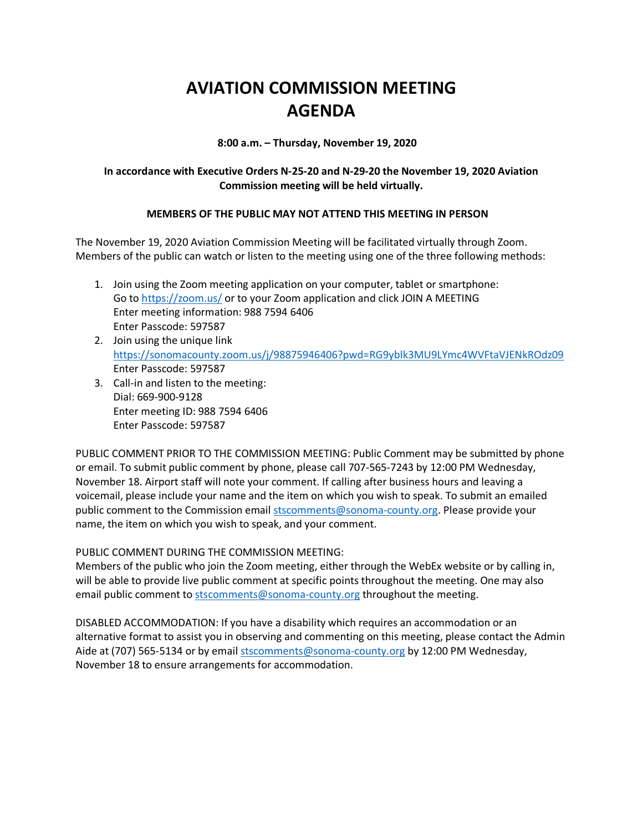## **AVIATION COMMISSION MEETING AGENDA**

**8:00 a.m. – Thursday, November 19, 2020**

## **In accordance with Executive Orders N-25-20 and N-29-20 the November 19, 2020 Aviation Commission meeting will be held virtually.**

## **MEMBERS OF THE PUBLIC MAY NOT ATTEND THIS MEETING IN PERSON**

The November 19, 2020 Aviation Commission Meeting will be facilitated virtually through Zoom. Members of the public can watch or listen to the meeting using one of the three following methods:

- 1. Join using the Zoom meeting application on your computer, tablet or smartphone: Go to<https://zoom.us/> or to your Zoom application and click JOIN A MEETING Enter meeting information: 988 7594 6406 Enter Passcode: 597587
- 2. Join using the unique link <https://sonomacounty.zoom.us/j/98875946406?pwd=RG9yblk3MU9LYmc4WVFtaVJENkROdz09> Enter Passcode: 597587
- 3. Call-in and listen to the meeting: Dial: 669-900-9128 Enter meeting ID: 988 7594 6406 Enter Passcode: 597587

PUBLIC COMMENT PRIOR TO THE COMMISSION MEETING: Public Comment may be submitted by phone or email. To submit public comment by phone, please call 707-565-7243 by 12:00 PM Wednesday, November 18. Airport staff will note your comment. If calling after business hours and leaving a voicemail, please include your name and the item on which you wish to speak. To submit an emailed public comment to the Commission emai[l stscomments@sonoma-county.org.](mailto:stscomments@sonoma-county.org) Please provide your name, the item on which you wish to speak, and your comment.

PUBLIC COMMENT DURING THE COMMISSION MEETING:

Members of the public who join the Zoom meeting, either through the WebEx website or by calling in, will be able to provide live public comment at specific points throughout the meeting. One may also email public comment to [stscomments@sonoma-county.org](mailto:stscomments@sonoma-county.org) throughout the meeting.

DISABLED ACCOMMODATION: If you have a disability which requires an accommodation or an alternative format to assist you in observing and commenting on this meeting, please contact the Admin Aide at (707) 565-5134 or by email [stscomments@sonoma-county.org](mailto:stscomments@sonoma-county.org) by 12:00 PM Wednesday, November 18 to ensure arrangements for accommodation.